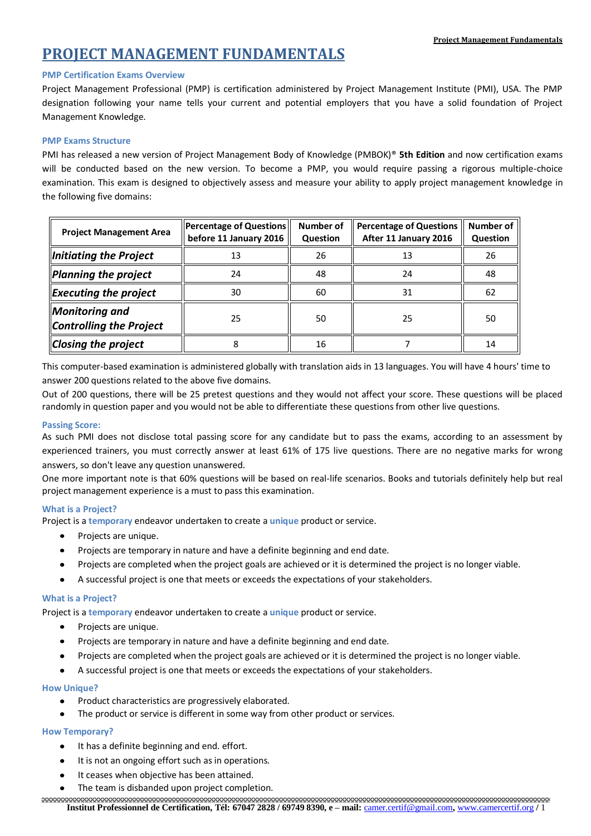# **PROJECT MANAGEMENT FUNDAMENTALS**

# **PMP Certification Exams Overview**

Project Management Professional (PMP) is certification administered by Project Management Institute (PMI), USA. The PMP designation following your name tells your current and potential employers that you have a solid foundation of Project Management Knowledge.

# **PMP Exams Structure**

PMI has released a new version of Project Management Body of Knowledge (PMBOK)® **5th Edition** and now certification exams will be conducted based on the new version. To become a PMP, you would require passing a rigorous multiple-choice examination. This exam is designed to objectively assess and measure your ability to apply project management knowledge in the following five domains:

| <b>Project Management Area</b>                   | Percentage of Questions<br>before 11 January 2016 | <b>Number of</b><br><b>Question</b> | <b>Percentage of Questions</b><br>After 11 January 2016 | Number of<br>Question |
|--------------------------------------------------|---------------------------------------------------|-------------------------------------|---------------------------------------------------------|-----------------------|
| Initiating the Project                           | 13                                                | 26                                  | 13                                                      | 26                    |
| Planning the project                             | 24                                                | 48                                  | 24                                                      | 48                    |
| <b>Executing the project</b>                     | 30                                                | 60                                  | 31                                                      | 62                    |
| Monitoring and<br><b>Controlling the Project</b> | 25                                                | 50                                  | 25                                                      | 50                    |
| <b>Closing the project</b>                       |                                                   | 16                                  |                                                         | 14                    |

This computer-based examination is administered globally with translation aids in 13 languages. You will have 4 hours' time to answer 200 questions related to the above five domains.

Out of 200 questions, there will be 25 pretest questions and they would not affect your score. These questions will be placed randomly in question paper and you would not be able to differentiate these questions from other live questions.

# **Passing Score:**

As such PMI does not disclose total passing score for any candidate but to pass the exams, according to an assessment by experienced trainers, you must correctly answer at least 61% of 175 live questions. There are no negative marks for wrong answers, so don't leave any question unanswered.

One more important note is that 60% questions will be based on real-life scenarios. Books and tutorials definitely help but real project management experience is a must to pass this examination.

# **What is a Project?**

Project is a **temporary** endeavor undertaken to create a **unique** product or service.

- $\bullet$ Projects are unique.
- Projects are temporary in nature and have a definite beginning and end date.
- Projects are completed when the project goals are achieved or it is determined the project is no longer viable.
- A successful project is one that meets or exceeds the expectations of your stakeholders.

# **What is a Project?**

Project is a **temporary** endeavor undertaken to create a **unique** product or service.

- $\bullet$ Projects are unique.
- Projects are temporary in nature and have a definite beginning and end date.
- Projects are completed when the project goals are achieved or it is determined the project is no longer viable.
- A successful project is one that meets or exceeds the expectations of your stakeholders.  $\bullet$

# **How Unique?**

- Product characteristics are progressively elaborated.
- The product or service is different in some way from other product or services.

# **How Temporary?**

- It has a definite beginning and end. effort.
- It is not an ongoing effort such as in operations.
- It ceases when objective has been attained.
- The team is disbanded upon project completion.

**Institut Professionnel de Certification, Tél: 67047 2828 / 69749 8390, e – mail:** camer.certif@gmail.com**,** www.camercertif.org **/** 1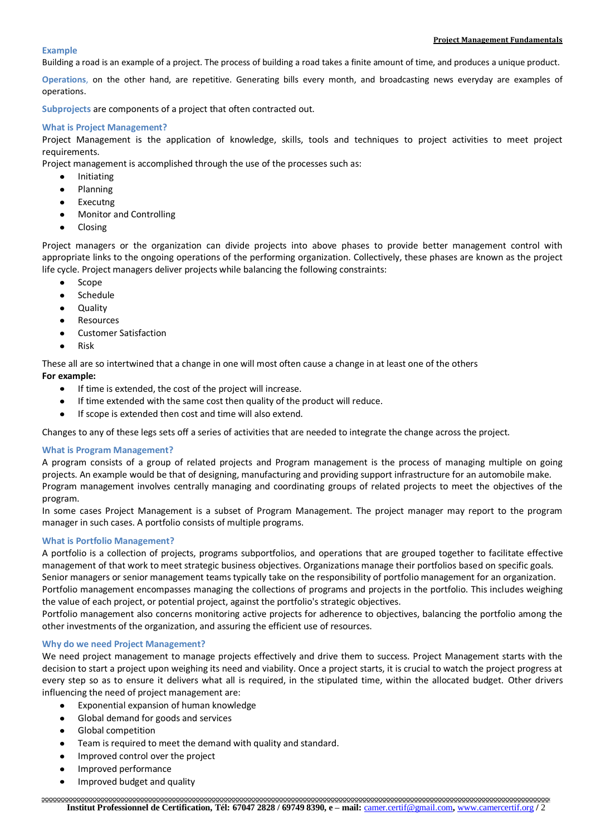#### **Project Management Fundamentals**

#### **Example**

Building a road is an example of a project. The process of building a road takes a finite amount of time, and produces a unique product.

**Operations**, on the other hand, are repetitive. Generating bills every month, and broadcasting news everyday are examples of operations.

**Subprojects** are components of a project that often contracted out.

## **What is Project Management?**

Project Management is the application of knowledge, skills, tools and techniques to project activities to meet project requirements.

Project management is accomplished through the use of the processes such as:

- Initiating
- Planning
- Executng
- Monitor and Controlling
- Closing

Project managers or the organization can divide projects into above phases to provide better management control with appropriate links to the ongoing operations of the performing organization. Collectively, these phases are known as the project life cycle. Project managers deliver projects while balancing the following constraints:

- Scope
- Schedule
- Quality
- Resources
- $\bullet$ Customer Satisfaction
- Risk

These all are so intertwined that a change in one will most often cause a change in at least one of the others **For example:**

- If time is extended, the cost of the project will increase.  $\bullet$
- If time extended with the same cost then quality of the product will reduce.
- If scope is extended then cost and time will also extend.

Changes to any of these legs sets off a series of activities that are needed to integrate the change across the project.

## **What is Program Management?**

A program consists of a group of related projects and Program management is the process of managing multiple on going projects. An example would be that of designing, manufacturing and providing support infrastructure for an automobile make. Program management involves centrally managing and coordinating groups of related projects to meet the objectives of the program.

In some cases Project Management is a subset of Program Management. The project manager may report to the program manager in such cases. A portfolio consists of multiple programs.

## **What is Portfolio Management?**

A portfolio is a collection of projects, programs subportfolios, and operations that are grouped together to facilitate effective management of that work to meet strategic business objectives. Organizations manage their portfolios based on specific goals.

Senior managers or senior management teams typically take on the responsibility of portfolio management for an organization. Portfolio management encompasses managing the collections of programs and projects in the portfolio. This includes weighing the value of each project, or potential project, against the portfolio's strategic objectives.

Portfolio management also concerns monitoring active projects for adherence to objectives, balancing the portfolio among the other investments of the organization, and assuring the efficient use of resources.

## **Why do we need Project Management?**

We need project management to manage projects effectively and drive them to success. Project Management starts with the decision to start a project upon weighing its need and viability. Once a project starts, it is crucial to watch the project progress at every step so as to ensure it delivers what all is required, in the stipulated time, within the allocated budget. Other drivers influencing the need of project management are:

- Exponential expansion of human knowledge  $\bullet$
- Global demand for goods and services
- Global competition
- Team is required to meet the demand with quality and standard.
- Improved control over the project
- Improved performance
- Improved budget and quality